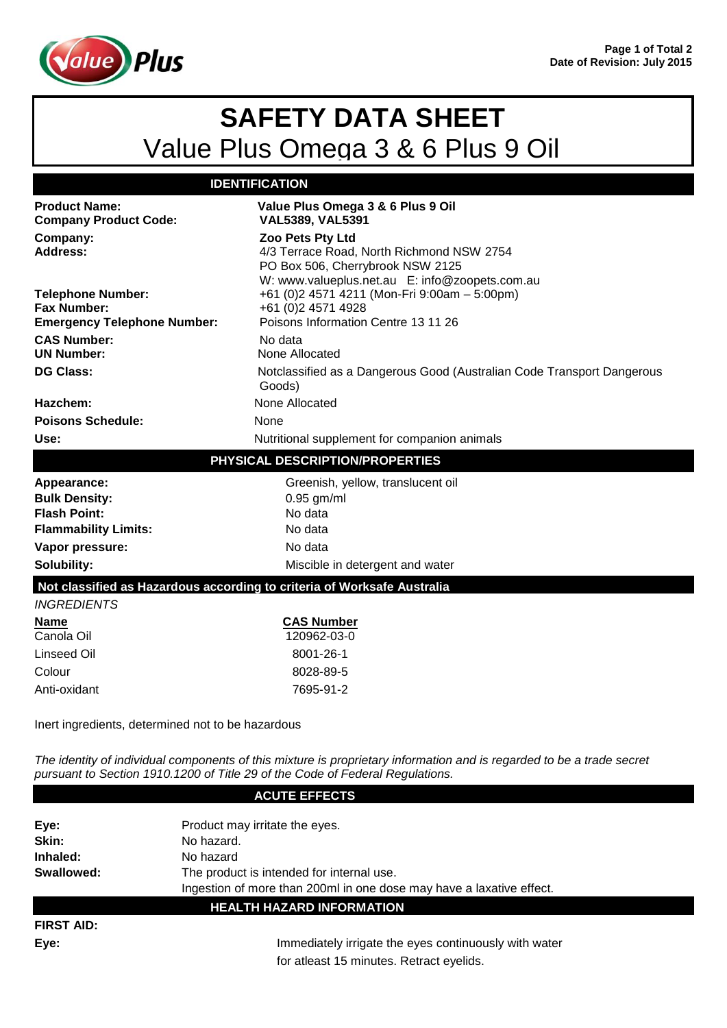

## **SAFETY DATA SHEET** Value Plus Omega 3 & 6 Plus 9 Oil

## **IDENTIFICATION**

| <b>Product Name:</b><br><b>Company Product Code:</b>                                                                                                                                                   | Value Plus Omega 3 & 6 Plus 9 Oil<br><b>VAL5389, VAL5391</b>                                                                                        |
|--------------------------------------------------------------------------------------------------------------------------------------------------------------------------------------------------------|-----------------------------------------------------------------------------------------------------------------------------------------------------|
| Company:<br><b>Address:</b>                                                                                                                                                                            | Zoo Pets Pty Ltd<br>4/3 Terrace Road, North Richmond NSW 2754<br>PO Box 506, Cherrybrook NSW 2125<br>W: www.valueplus.net.au E: info@zoopets.com.au |
| <b>Telephone Number:</b><br><b>Fax Number:</b>                                                                                                                                                         | +61 (0)2 4571 4211 (Mon-Fri 9:00am - 5:00pm)<br>+61 (0)2 4571 4928                                                                                  |
| <b>Emergency Telephone Number:</b>                                                                                                                                                                     | Poisons Information Centre 13 11 26                                                                                                                 |
| <b>CAS Number:</b><br><b>UN Number:</b>                                                                                                                                                                | No data<br>None Allocated                                                                                                                           |
| <b>DG Class:</b>                                                                                                                                                                                       | Notclassified as a Dangerous Good (Australian Code Transport Dangerous<br>Goods)                                                                    |
| Hazchem:                                                                                                                                                                                               | None Allocated                                                                                                                                      |
| <b>Poisons Schedule:</b>                                                                                                                                                                               | None                                                                                                                                                |
| Use:                                                                                                                                                                                                   | Nutritional supplement for companion animals                                                                                                        |
| PHYSICAL DESCRIPTION/PROPERTIES                                                                                                                                                                        |                                                                                                                                                     |
| Appearance:                                                                                                                                                                                            | Greenish, yellow, translucent oil                                                                                                                   |
| <b>Bulk Density:</b>                                                                                                                                                                                   | $0.95$ gm/ml                                                                                                                                        |
| <b>Flash Point:</b>                                                                                                                                                                                    | No data                                                                                                                                             |
| <b>Flammability Limits:</b>                                                                                                                                                                            | No data                                                                                                                                             |
| Vapor pressure:                                                                                                                                                                                        | No data                                                                                                                                             |
| Solubility:                                                                                                                                                                                            | Miscible in detergent and water                                                                                                                     |
| Not classified as Hazardous according to criteria of Worksafe Australia                                                                                                                                |                                                                                                                                                     |
| <b>INGREDIENTS</b>                                                                                                                                                                                     |                                                                                                                                                     |
| <b>Name</b><br>Canola Oil                                                                                                                                                                              | <b>CAS Number</b><br>120962-03-0                                                                                                                    |
|                                                                                                                                                                                                        |                                                                                                                                                     |
| <b>Linseed Oil</b>                                                                                                                                                                                     | 8001-26-1                                                                                                                                           |
| Colour                                                                                                                                                                                                 | 8028-89-5                                                                                                                                           |
| Anti-oxidant                                                                                                                                                                                           | 7695-91-2                                                                                                                                           |
| Inert ingredients, determined not to be hazardous                                                                                                                                                      |                                                                                                                                                     |
| The identity of individual components of this mixture is proprietary information and is regarded to be a trade secret<br>pursuant to Section 1910.1200 of Title 29 of the Code of Federal Regulations. |                                                                                                                                                     |

**ACUTE EFFECTS Eye:** Product may irritate the eyes. Skin: No hazard. **Inhaled:** No hazard **Swallowed:** The product is intended for internal use. Ingestion of more than 200ml in one dose may have a laxative effect. **HEALTH HAZARD INFORMATION FIRST AID:**

**Eye:** Immediately irrigate the eyes continuously with water for atleast 15 minutes. Retract eyelids.